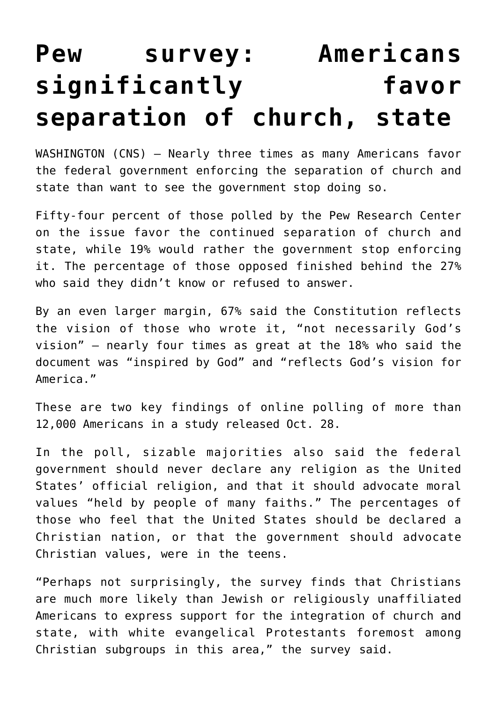## **[Pew survey: Americans](https://www.osvnews.com/amp/2021/10/28/pew-survey-americans-significantly-favor-separation-of-church-state/) [significantly favor](https://www.osvnews.com/amp/2021/10/28/pew-survey-americans-significantly-favor-separation-of-church-state/) [separation of church, state](https://www.osvnews.com/amp/2021/10/28/pew-survey-americans-significantly-favor-separation-of-church-state/)**

WASHINGTON (CNS) — Nearly three times as many Americans favor the federal government enforcing the separation of church and state than want to see the government stop doing so.

Fifty-four percent of those polled by the Pew Research Center on the issue favor the continued separation of church and state, while 19% would rather the government stop enforcing it. The percentage of those opposed finished behind the 27% who said they didn't know or refused to answer.

By an even larger margin, 67% said the Constitution reflects the vision of those who wrote it, "not necessarily God's vision" — nearly four times as great at the 18% who said the document was "inspired by God" and "reflects God's vision for America."

These are two key findings of online polling of more than 12,000 Americans in a study released Oct. 28.

In the poll, sizable majorities also said the federal government should never declare any religion as the United States' official religion, and that it should advocate moral values "held by people of many faiths." The percentages of those who feel that the United States should be declared a Christian nation, or that the government should advocate Christian values, were in the teens.

"Perhaps not surprisingly, the survey finds that Christians are much more likely than Jewish or religiously unaffiliated Americans to express support for the integration of church and state, with white evangelical Protestants foremost among Christian subgroups in this area," the survey said.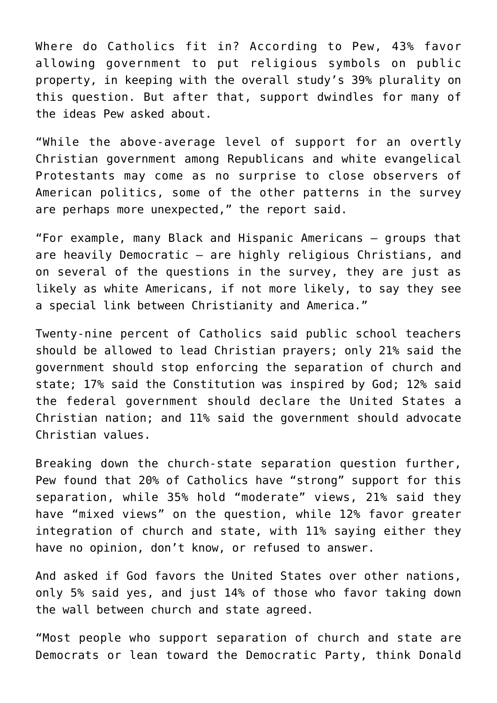Where do Catholics fit in? According to Pew, 43% favor allowing government to put religious symbols on public property, in keeping with the overall study's 39% plurality on this question. But after that, support dwindles for many of the ideas Pew asked about.

"While the above-average level of support for an overtly Christian government among Republicans and white evangelical Protestants may come as no surprise to close observers of American politics, some of the other patterns in the survey are perhaps more unexpected," the report said.

"For example, many Black and Hispanic Americans — groups that are heavily Democratic — are highly religious Christians, and on several of the questions in the survey, they are just as likely as white Americans, if not more likely, to say they see a special link between Christianity and America."

Twenty-nine percent of Catholics said public school teachers should be allowed to lead Christian prayers; only 21% said the government should stop enforcing the separation of church and state; 17% said the Constitution was inspired by God; 12% said the federal government should declare the United States a Christian nation; and 11% said the government should advocate Christian values.

Breaking down the church-state separation question further, Pew found that 20% of Catholics have "strong" support for this separation, while 35% hold "moderate" views, 21% said they have "mixed views" on the question, while 12% favor greater integration of church and state, with 11% saying either they have no opinion, don't know, or refused to answer.

And asked if God favors the United States over other nations, only 5% said yes, and just 14% of those who favor taking down the wall between church and state agreed.

"Most people who support separation of church and state are Democrats or lean toward the Democratic Party, think Donald